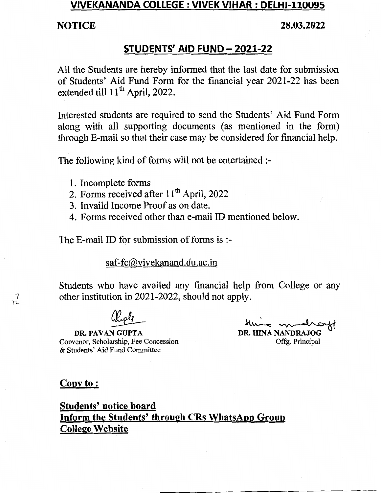## VIVEKANANDA COLLEGE : VIVEK VIHAR : DELHI-110095

### NOTICE 28.03.2022

## STUDENTS' AID FUND- 2021-22

All the Students are hereby informed that the last date for submission of Students' Aid Fund Form for the financial year 2021-22 has been extended till 11<sup>th</sup> April, 2022.

Interested students are required to send the Students' Aid Fund Form along with all supporting documents (as mentioned in the form) through E-mail so that their case may be considered for financial help.

The following kind of forms will not be entertained :-

- 1. Incomplete forms
- 2. Forms received after  $11<sup>th</sup>$  April, 2022
- 3. Invaild Income Proof as on date.
- 4. Forms received other than e-mail ID mentioned below.

The E-mail ID for submission of forms is:-

 $~\bullet$   $~\bullet$   $~\bullet$   $~\bullet$   $~\bullet$   $~\bullet$   $~\bullet$   $~\bullet$   $~\bullet$   $~\bullet$   $~\bullet$   $~\bullet$   $~\bullet$   $~\bullet$   $~\bullet$   $~\bullet$   $~\bullet$   $~\bullet$   $~\bullet$   $~\bullet$   $~\bullet$   $~\bullet$   $~\bullet$   $~\bullet$   $~\bullet$   $~\bullet$   $~\bullet$   $~\bullet$   $~\bullet$   $~\bullet$   $~\bullet$   $~\bullet$   $~\bullet$   $~\bullet$   $~\bullet$   $~\bullet$   $~\bullet$ 

## saf-fc@vivekanand.du.ac.in

Students who have availed any financial help from College or any other institution in 2021-2022, should not apply.

DR. PAVAN GUPTA Convenor, Scholarship, Fee Concession & Students' Aid Fund Committee

DR. HINA NANDRAJOG Offg. Principal

Copy to:

## Students' notice board Inform the Students' through CRs WhatsApp Group College Website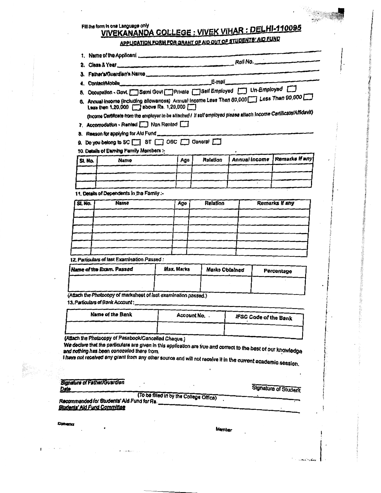#### Fill the form in one Language only VIVEKANANDA COLLEGE : VIVEK VIHAR : DELHI-110095 **ENTS' AID FUND**

|  | APPLICATION FORM FOR GRANT OF AID OUT OF BILD BILL THE |  |
|--|--------------------------------------------------------|--|
|--|--------------------------------------------------------|--|

| 4.      |                                                                                                                                                                             | Contact/Mobile E-mail |                 |               |                |  |  |  |  |
|---------|-----------------------------------------------------------------------------------------------------------------------------------------------------------------------------|-----------------------|-----------------|---------------|----------------|--|--|--|--|
|         | Occupation - Govt. Somi Govt Private Solf Employed Un-Employed                                                                                                              |                       |                 |               |                |  |  |  |  |
|         | 6. Annual income (including allowances) Annual Income Less Then 80,000 Less Then 90,000<br><b>Less then 1,20,000 <math>\Box</math> above Rs. 1,20,000 <math>\Box</math></b> |                       |                 |               |                |  |  |  |  |
|         | (income Certificate from the employer to be attached / if self employed please attach income Certificate/Affidavit)                                                         |                       |                 |               |                |  |  |  |  |
|         | 7. Accomodation - Rented Non Rented                                                                                                                                         |                       |                 |               |                |  |  |  |  |
|         | 8. Reason for applying for Aid Fund                                                                                                                                         |                       |                 |               |                |  |  |  |  |
|         |                                                                                                                                                                             |                       |                 |               |                |  |  |  |  |
|         |                                                                                                                                                                             |                       |                 |               |                |  |  |  |  |
|         | 9. Do you belong to SC ST ST OBC Seneral C<br>10. Details of Earning Family Members :-                                                                                      |                       |                 |               |                |  |  |  |  |
| SI. Na. | Name                                                                                                                                                                        | Ago                   | <b>Relation</b> | Annual Income | Remarks If any |  |  |  |  |
|         |                                                                                                                                                                             |                       |                 |               |                |  |  |  |  |
|         |                                                                                                                                                                             |                       |                 |               |                |  |  |  |  |

| SI. No.                                 | <b>Name</b> | Age | <b>Relation</b> | Remarks if any |  |  |
|-----------------------------------------|-------------|-----|-----------------|----------------|--|--|
|                                         |             |     |                 |                |  |  |
|                                         |             |     |                 |                |  |  |
|                                         |             |     |                 |                |  |  |
|                                         |             |     |                 |                |  |  |
|                                         |             |     |                 |                |  |  |
|                                         |             |     |                 |                |  |  |
| " Ondiadam of last Evamination Paccod : |             |     |                 |                |  |  |

12. Particulars of last Examination Passed:

| Name of the Exam. Passed | Max. Marks | Marks Obtained | Percentage |
|--------------------------|------------|----------------|------------|
|                          |            |                |            |
|                          |            |                |            |

(Attach the Photocopy of marksheet of last examination passed.) 13. Particulars of Bank Account:

| Name of the Bank | Account No. . | <b>IFSC Code of the Bank</b> |  |  |  |  |
|------------------|---------------|------------------------------|--|--|--|--|
|                  |               |                              |  |  |  |  |

(Attach the Photocopy of Passbook/Cancelled Cheque.)

We declare that the particulars are given in this application are true and correct to the best of our knowledge and nouring rise books were even any other source and will not receive it in the current academic session.

| <b>Signature of Father/Guardian</b><br>Data                                           | <b>Signature of Student</b> |
|---------------------------------------------------------------------------------------|-----------------------------|
| (To be filled in by the College Office)<br>tecommended for Students' Aid Fund for Rs. |                             |
| itudents' Aid Fund Committee                                                          |                             |

Convertor

**Aembe**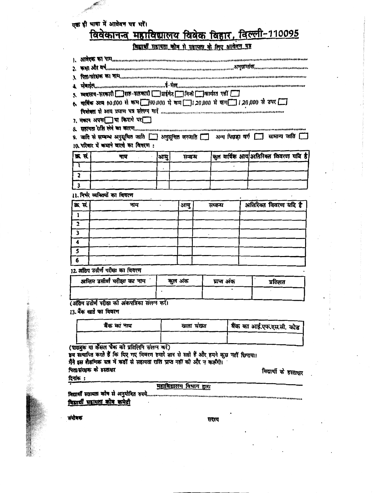## एक ही भाषा में आवेदन पत्र भरें।

# विवेकानन्त महाविद्यालय विवेक विहार, विल्ली-110095

| <b>PERTENT WE ARE ARRESTED FOR THE CONTRACT OF A CONTRACT A CONTRACT A CONTRACT A CONTRACT A CONTRACT A CONTRACT A</b><br>ELECTRIC Communication communication of the communication communication construction and communication<br>त्ववसाय-भाषारी सात-भाषारी   प्रारंभेट   निजी मार्ग्यात गर्हा<br>6. पाविक आप 60,000 से कम □ 00,000 से कम □ 1,20,000 से कम □ 1,20,000 से ठपर □<br>7. मकान अपना या किराये पर ।<br><u> REITH AN EN EU POLO Communication communication communication and BERBER A</u><br>9. जाति से सम्बन्ध अनुसूचित जाति   अनुसूचित जनजाति   अन्य पिछड़ा वर्ग   सामान्य जाति  <br>10. परिवार में कमाने वालो का विवरण: |                                                    |                                         |  |         |         |             |  |  |  |                                     |  |
|----------------------------------------------------------------------------------------------------------------------------------------------------------------------------------------------------------------------------------------------------------------------------------------------------------------------------------------------------------------------------------------------------------------------------------------------------------------------------------------------------------------------------------------------------------------------------------------------------------------------------------------|----------------------------------------------------|-----------------------------------------|--|---------|---------|-------------|--|--|--|-------------------------------------|--|
| क्र सं                                                                                                                                                                                                                                                                                                                                                                                                                                                                                                                                                                                                                                 | पाम                                                | आयु                                     |  | सम्बन्ध |         |             |  |  |  | कल वार्षिक आय अतिरिक्त विवरण यदि है |  |
| τ                                                                                                                                                                                                                                                                                                                                                                                                                                                                                                                                                                                                                                      |                                                    |                                         |  |         |         |             |  |  |  |                                     |  |
| $\overline{\mathbf{2}}$                                                                                                                                                                                                                                                                                                                                                                                                                                                                                                                                                                                                                |                                                    |                                         |  |         |         |             |  |  |  |                                     |  |
| $\mathbf{3}$                                                                                                                                                                                                                                                                                                                                                                                                                                                                                                                                                                                                                           |                                                    |                                         |  |         |         |             |  |  |  |                                     |  |
|                                                                                                                                                                                                                                                                                                                                                                                                                                                                                                                                                                                                                                        | 11. निर्भर व्यक्तियों का विवरण                     |                                         |  |         |         |             |  |  |  |                                     |  |
| क्र. सं                                                                                                                                                                                                                                                                                                                                                                                                                                                                                                                                                                                                                                | नाम                                                |                                         |  | आयु     | सम्बन्ध |             |  |  |  | अतिरिक्त विवरण यदि है               |  |
| $\mathbf{1}$                                                                                                                                                                                                                                                                                                                                                                                                                                                                                                                                                                                                                           |                                                    |                                         |  |         |         |             |  |  |  |                                     |  |
| $\overline{\mathbf{2}}$                                                                                                                                                                                                                                                                                                                                                                                                                                                                                                                                                                                                                |                                                    |                                         |  |         |         |             |  |  |  |                                     |  |
| $\overline{\mathbf{3}}$                                                                                                                                                                                                                                                                                                                                                                                                                                                                                                                                                                                                                |                                                    |                                         |  |         |         |             |  |  |  |                                     |  |
| 4                                                                                                                                                                                                                                                                                                                                                                                                                                                                                                                                                                                                                                      |                                                    |                                         |  |         |         |             |  |  |  |                                     |  |
| 5                                                                                                                                                                                                                                                                                                                                                                                                                                                                                                                                                                                                                                      |                                                    |                                         |  |         |         |             |  |  |  |                                     |  |
| 6                                                                                                                                                                                                                                                                                                                                                                                                                                                                                                                                                                                                                                      |                                                    |                                         |  |         |         |             |  |  |  |                                     |  |
|                                                                                                                                                                                                                                                                                                                                                                                                                                                                                                                                                                                                                                        | 12 अंतिम उत्तीर्ण परीक्षा का विवरण                 |                                         |  |         |         |             |  |  |  |                                     |  |
|                                                                                                                                                                                                                                                                                                                                                                                                                                                                                                                                                                                                                                        | अन्तिम उत्तीर्ण परीक्षा का नाम                     |                                         |  | कुल अंक |         | प्राप्त अंक |  |  |  | प्रतिशत                             |  |
|                                                                                                                                                                                                                                                                                                                                                                                                                                                                                                                                                                                                                                        |                                                    |                                         |  |         |         |             |  |  |  |                                     |  |
|                                                                                                                                                                                                                                                                                                                                                                                                                                                                                                                                                                                                                                        | (अंतिम उत्तीर्ण परीक्षा को अंकपत्रिका संलग्न करें। |                                         |  |         |         |             |  |  |  |                                     |  |
|                                                                                                                                                                                                                                                                                                                                                                                                                                                                                                                                                                                                                                        | 13. बैंक खाते का विवरण                             |                                         |  |         |         |             |  |  |  |                                     |  |
|                                                                                                                                                                                                                                                                                                                                                                                                                                                                                                                                                                                                                                        | बैंक का नाम                                        | खाता संख्या<br>बैंक का आई.एफ.एस.सी. कोड |  |         |         |             |  |  |  |                                     |  |
|                                                                                                                                                                                                                                                                                                                                                                                                                                                                                                                                                                                                                                        |                                                    |                                         |  |         |         |             |  |  |  |                                     |  |
| (पासबुक या कैंसल चैक को प्रतिलिपि सलग्न करें)<br>इम सत्यापित करते हैं कि दिए गए विवरण हमारे ज्ञान से सही हैं और हमने कुछ नहीं छिपाया।                                                                                                                                                                                                                                                                                                                                                                                                                                                                                                  |                                                    |                                         |  |         |         |             |  |  |  |                                     |  |
| .<br>मैंने इस शैक्षणिक सत्र में कहीं से सहायता राशि प्राप्त नहीं की और न करूंगी।                                                                                                                                                                                                                                                                                                                                                                                                                                                                                                                                                       |                                                    |                                         |  |         |         |             |  |  |  |                                     |  |
| पिता/संरक्षक के हस्ताक्षर<br>विद्यार्थी के हस्ताक्षर<br>বিশাক :                                                                                                                                                                                                                                                                                                                                                                                                                                                                                                                                                                        |                                                    |                                         |  |         |         |             |  |  |  |                                     |  |
|                                                                                                                                                                                                                                                                                                                                                                                                                                                                                                                                                                                                                                        | महाविद्यालय विभाग द्वारा                           |                                         |  |         |         |             |  |  |  |                                     |  |
|                                                                                                                                                                                                                                                                                                                                                                                                                                                                                                                                                                                                                                        |                                                    |                                         |  |         |         |             |  |  |  |                                     |  |

.<br>विद्यार्थी सहायता कोष से अनुमोदित रुपये………………………………………………… विद्यार्थी सहायता कोष कमेटी

संयोजक

सदस्य